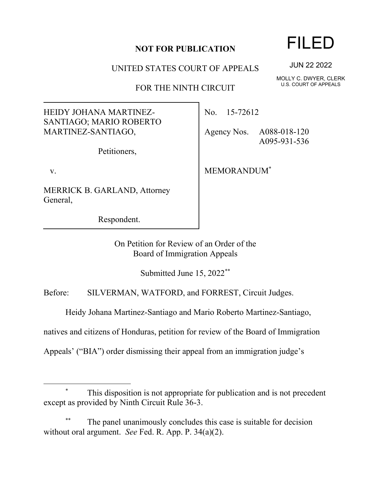## **NOT FOR PUBLICATION**

UNITED STATES COURT OF APPEALS

FOR THE NINTH CIRCUIT

HEIDY JOHANA MARTINEZ-SANTIAGO; MARIO ROBERTO MARTINEZ-SANTIAGO,

Petitioners,

v.

MERRICK B. GARLAND, Attorney General,

Respondent.

No. 15-72612

Agency Nos. A088-018-120 A095-931-536

MEMORANDUM\*

On Petition for Review of an Order of the Board of Immigration Appeals

Submitted June 15, 2022\*\*

Before: SILVERMAN, WATFORD, and FORREST, Circuit Judges.

Heidy Johana Martinez-Santiago and Mario Roberto Martinez-Santiago,

natives and citizens of Honduras, petition for review of the Board of Immigration

Appeals' ("BIA") order dismissing their appeal from an immigration judge's

## This disposition is not appropriate for publication and is not precedent except as provided by Ninth Circuit Rule 36-3.

The panel unanimously concludes this case is suitable for decision without oral argument. *See* Fed. R. App. P. 34(a)(2).

## FILED

JUN 22 2022

MOLLY C. DWYER, CLERK U.S. COURT OF APPEALS